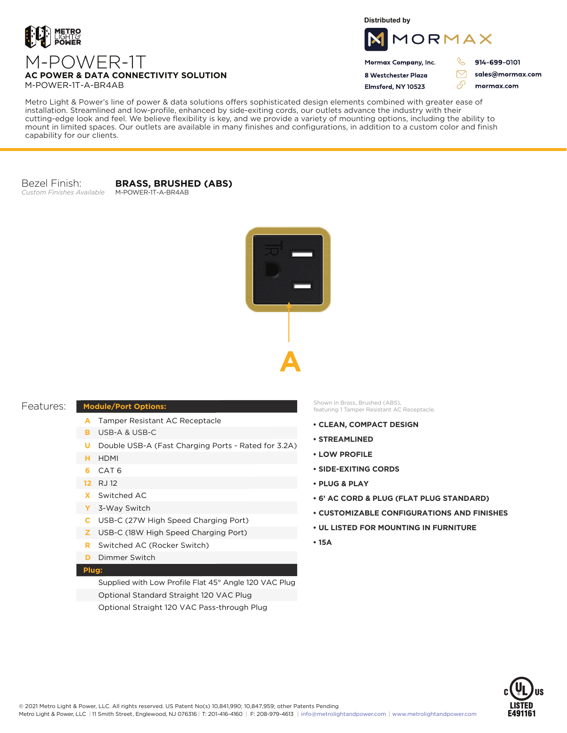

**Distributed by**



Mormax Company, Inc. 8 Westchester Plaza

Elmsford, NY 10523

914-699-0101

sales@mormax.com mormax.com

76

**AC POWER & DATA CONNECTIVITY SOLUTION** M-POWER-1T-A-BR4AB

M-POWER-1T

Metro Light & Power's line of power & data solutions offers sophisticated design elements combined with greater ease of installation. Streamlined and low-profile, enhanced by side-exiting cords, our outlets advance the industry with their cutting-edge look and feel. We believe flexibility is key, and we provide a variety of mounting options, including the ability to mount in limited spaces. Our outlets are available in many finishes and configurations, in addition to a custom color and finish capability for our clients.

Bezel Finish: *Custom Finishes Available*

**BRASS, BRUSHED (ABS)** M-POWER-1T-A-BR4AB



## Features:

## **Module/Port Options:**

- A Tamper Resistant AC Receptacle
- USB-A & USB-C **B**
- U Double USB-A (Fast Charging Ports Rated for 3.2A)
- HDMI **H**
- CAT 6 **6**
- 12 RJ 12
- Switched AC **X**
- 3-Way Switch **Y**
- USB-C (27W High Speed Charging Port) **C**
- USB-C (18W High Speed Charging Port) **Z**
- Switched AC (Rocker Switch) **R**
- **D** Dimmer Switch

## **Plug:**

Supplied with Low Profile Flat 45° Angle 120 VAC Plug Optional Standard Straight 120 VAC Plug Optional Straight 120 VAC Pass-through Plug

Shown in Brass, Brushed (ABS), featuring 1 Tamper Resistant AC Receptacle.

- **CLEAN, COMPACT DESIGN**
- **STREAMLINED**
- **LOW PROFILE**
- **SIDE-EXITING CORDS**
- **PLUG & PLAY**
- **6' AC CORD & PLUG (FLAT PLUG STANDARD)**
- **CUSTOMIZABLE CONFIGURATIONS AND FINISHES**
- **UL LISTED FOR MOUNTING IN FURNITURE**
- **15A**